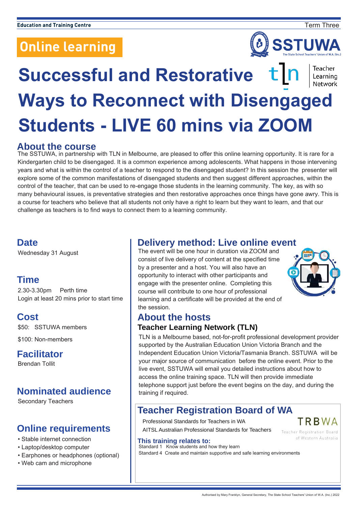

Teacher Learning

# **Successful and Restorative**  Network **Ways to Reconnect with Disengaged Students - LIVE 60 mins via ZOOM**

#### **About the course**

The SSTUWA, in partnership with TLN in Melbourne, are pleased to offer this online learning opportunity. It is rare for a Kindergarten child to be disengaged. It is a common experience among adolescents. What happens in those intervening years and what is within the control of a teacher to respond to the disengaged student? In this session the presenter will explore some of the common manifestations of disengaged students and then suggest different approaches, within the control of the teacher, that can be used to re-engage those students in the learning community. The key, as with so many behavioural issues, is preventative strategies and then restorative approaches once things have gone awry. This is a course for teachers who believe that all students not only have a right to learn but they want to learn, and that our challenge as teachers is to find ways to connect them to a learning community.

#### **Date**

Wednesday 31 August

## **Time**

2.30-3.30pm Perth time Login at least 20 mins prior to start time

## **Cost**

\$50: SSTUWA members

\$100: Non-members

## **Facilitator**

Brendan Tollit

# **Nominated audience**

Secondary Teachers

## **Online requirements**

- Stable internet connection
- Laptop/desktop computer
- Earphones or headphones (optional)
- Web cam and microphone

## **Delivery method: Live online event**

The event will be one hour in duration via ZOOM and consist of live delivery of content at the specified time by a presenter and a host. You will also have an opportunity to interact with other participants and engage with the presenter online. Completing this course will contribute to one hour of professional learning and a certificate will be provided at the end of the session.



TRRWA

**Teacher Registration Board** of Western Australia

# **About the hosts**

#### **Teacher Learning Network (TLN)**

TLN is a Melbourne based, not-for-profit professional development provider supported by the Australian Education Union Victoria Branch and the Independent Education Union Victoria/Tasmania Branch. SSTUWA will be your major source of communication before the online event. Prior to the live event, SSTUWA will email you detailed instructions about how to access the online training space. TLN will then provide immediate telephone support just before the event begins on the day, and during the training if required.

## **Teacher Registration Board of WA**

Professional Standards for Teachers in WA

AITSL Australian Professional Standards for Teachers

#### **This training relates to:**

Standard 1 Know students and how they learn Standard 4 Create and maintain supportive and safe learning environments